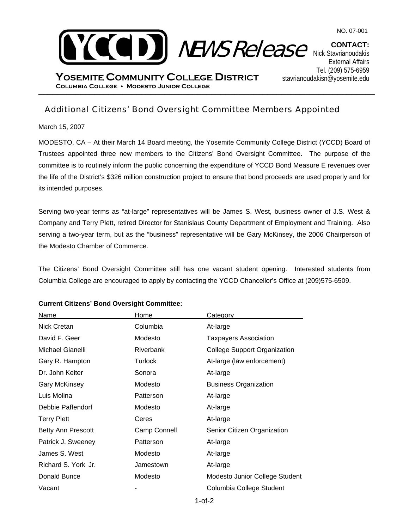



\_\_\_\_\_\_\_\_\_\_\_\_\_\_\_\_\_\_\_\_\_\_\_\_\_\_\_\_\_\_\_\_\_\_\_\_\_\_\_\_\_\_\_\_\_\_\_\_\_\_\_\_\_\_\_\_\_\_\_\_\_\_\_\_\_\_\_\_\_\_\_\_ **Columbia College Modesto Junior College YOSEMITE COMMUNITY COLLEGE DISTRICT**

**CONTACT:**  Nick Stavrianoudakis External Affairs Tel. (209) 575-6959 stavrianoudakisn@yosemite.edu

## Additional Citizens' Bond Oversight Committee Members Appointed

March 15, 2007

MODESTO, CA – At their March 14 Board meeting, the Yosemite Community College District (YCCD) Board of Trustees appointed three new members to the Citizens' Bond Oversight Committee. The purpose of the committee is to routinely inform the public concerning the expenditure of YCCD Bond Measure E revenues over the life of the District's \$326 million construction project to ensure that bond proceeds are used properly and for its intended purposes.

Serving two-year terms as "at-large" representatives will be James S. West, business owner of J.S. West & Company and Terry Plett, retired Director for Stanislaus County Department of Employment and Training. Also serving a two-year term, but as the "business" representative will be Gary McKinsey, the 2006 Chairperson of the Modesto Chamber of Commerce.

The Citizens' Bond Oversight Committee still has one vacant student opening. Interested students from Columbia College are encouraged to apply by contacting the YCCD Chancellor's Office at (209)575-6509.

| Name                 | Home         | Category                            |
|----------------------|--------------|-------------------------------------|
| Nick Cretan          | Columbia     | At-large                            |
| David F. Geer        | Modesto      | <b>Taxpayers Association</b>        |
| Michael Gianelli     | Riverbank    | <b>College Support Organization</b> |
| Gary R. Hampton      | Turlock      | At-large (law enforcement)          |
| Dr. John Keiter      | Sonora       | At-large                            |
| <b>Gary McKinsey</b> | Modesto      | <b>Business Organization</b>        |
| Luis Molina          | Patterson    | At-large                            |
| Debbie Paffendorf    | Modesto      | At-large                            |
| <b>Terry Plett</b>   | Ceres        | At-large                            |
| Betty Ann Prescott   | Camp Connell | Senior Citizen Organization         |
| Patrick J. Sweeney   | Patterson    | At-large                            |
| James S. West        | Modesto      | At-large                            |
| Richard S. York Jr.  | Jamestown    | At-large                            |
| Donald Bunce         | Modesto      | Modesto Junior College Student      |
| Vacant               |              | Columbia College Student            |

## **Current Citizens' Bond Oversight Committee:**